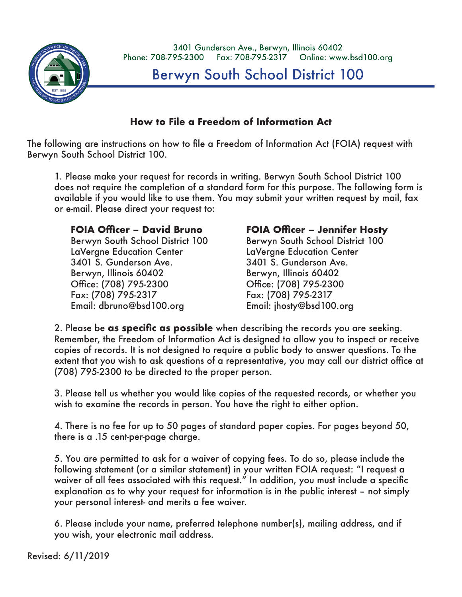

3401 Gunderson Ave., Berwyn, Illinois 60402 Phone: 708-795-2300 Fax: 708-795-2317 Online: www.bsd100.org

**Berwyn South School District 100** 

## **How to File a Freedom of Information Act How to File a Freedom of Information Act**

The following are instructions on how to file a Freedom of Information Act (FOIA) The following are instructions on how to file a Freedom of Information Act (FOIA) request with Berwyn South School District 100.

1. Please make your request for records in writing. Berwyn South School District 1. Please make your request for records in writing. Berwyn South School District 100 100 does not require the completion of a standard form for this purpose. The does not require the completion of a standard form for this purpose. The following form is available if you would like to use them. You may submit your written request by mail, fax or e-mail. Please direct your request to: **produce the control of the control of the control of the control of the control of the control of the control of the control of the control of the control of the control of the co** 

## **FOIA Officer – David Bruno**

Berwyn, Illinois 60402 Berwyn, Illinois 60402 Berwyn, Illinois 60402 Office: (708) 795-2300 Office: (708) 795-2300 Office: (708) 795-2300 Fax: (708) 795-2317 Fax: (708) 795-2317 Fax: (708) 795-2317 Berwyn South School District 100 LaVergne Education Center 3401 S. Gunderson Ave. Berwyn, Illinois 60402 Office: (708) 795-2300 Fax: (708) 795-2317 Email: dbruno@bsd100.org

## **FOIA Officer – James Calabrese FOIA Officer – Jennifer Hosty FOIA Officer – Jennifer Hosty**

Berwyn South School District 100 Berwyn South School District 100 Berwyn South School District 100 LaVergne Education Center LaVergne Education Center LaVergne Education Center 3401 S. Gunderson Ave. 3401 S. Gunderson Ave. 3401 S. Gunderson Ave. il: dbruno@bsd100.org Email: jhosty@bsd100.org

2. Please be **as specific as possible** when describing the records you are seeking. 2. Please be **as specific as possible** when describing the records you are seeking. Remember, the Freedom of Information Act is designed to allow you to inspect Remember, the Freedom of Information Act is designed to allow you to inspect or receive or receive copies of records. It is not designed to require a public body to copies of records. It is not designed to require a public body to answer questions. To the answer questions. This the extent that you wish to the extent that you wish to ask questions of a assume to the extent that you wish to ask questions of a representative, you may call our district office at<br>(700) 705-2200 to be directed in the state of (708) 795-2300 to be directed to the proper person.

3. Please tell us whether you would like copies of the requested records, or whether 3. Please tell us whether you would like copies of the requested records, or whether you wish to examine the records in person. You have the right to either option.

4. There is no fee for up to 50 pages of standard paper copies. For pages beyond 4. There is no fee for up to 50 pages of standard paper copies. For pages beyond 50, 50, there is a .15 cent-per-page charge. there is a .15 cent-per-page charge.

5. You are permitted to ask for a waiver of copying fees. To do so, please include 5. You are permitted to ask for a waiver of copying fees. To do so, please include the following statement (or a similar statement) in your written FOIA request: "I request a waiver of all fees associated with this request." In addition, you must include a specific explanation as to why your request for information is in the public interest – not simply your personal interest- and merits a fee waiver.

6. Please include your name, preferred telephone number(s), mailing address, and 6. Please include your name, preferred telephone number(s), mailing address, and if if you wish, your electronic mail address. you wish, your electronic mail address.